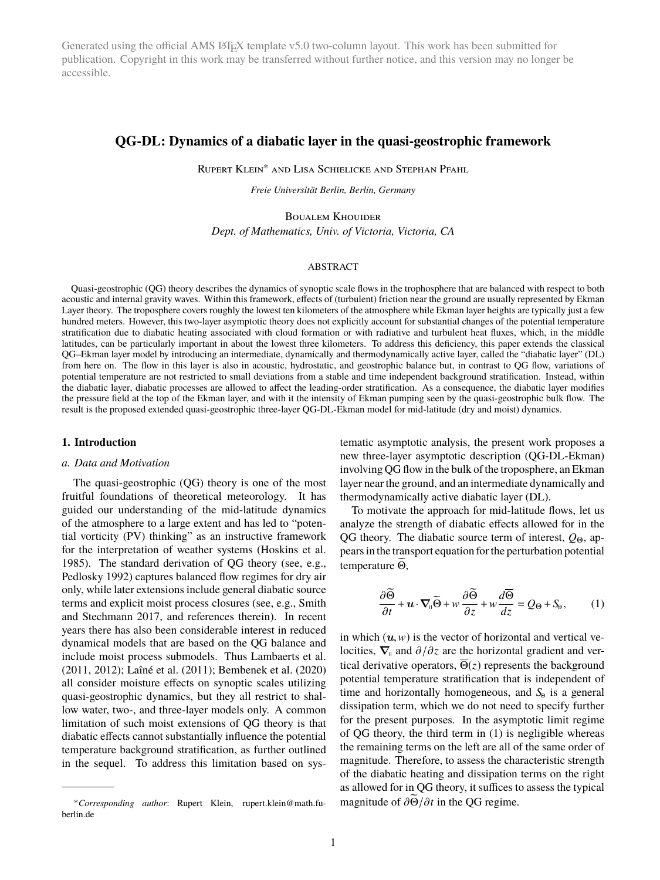Generated using the official AMS LATEX template v5.0 two-column layout. This work has been submitted for publication. Copyright in this work may be transferred without further notice, and this version may no longer be accessible.

# **QG-DL: Dynamics of a diabatic layer in the quasi-geostrophic framework**

Rupert Klein<sup>∗</sup> and Lisa Schielicke and Stephan Pfahl

*Freie Universität Berlin, Berlin, Germany*

Boualem Khouider *Dept. of Mathematics, Univ. of Victoria, Victoria, CA*

### ABSTRACT

Quasi-geostrophic (QG) theory describes the dynamics of synoptic scale flows in the trophosphere that are balanced with respect to both acoustic and internal gravity waves. Within this framework, effects of (turbulent) friction near the ground are usually represented by Ekman Layer theory. The troposphere covers roughly the lowest ten kilometers of the atmosphere while Ekman layer heights are typically just a few hundred meters. However, this two-layer asymptotic theory does not explicitly account for substantial changes of the potential temperature stratification due to diabatic heating associated with cloud formation or with radiative and turbulent heat fluxes, which, in the middle latitudes, can be particularly important in about the lowest three kilometers. To address this deficiency, this paper extends the classical QG–Ekman layer model by introducing an intermediate, dynamically and thermodynamically active layer, called the "diabatic layer" (DL) from here on. The flow in this layer is also in acoustic, hydrostatic, and geostrophic balance but, in contrast to QG flow, variations of potential temperature are not restricted to small deviations from a stable and time independent background stratification. Instead, within the diabatic layer, diabatic processes are allowed to affect the leading-order stratification. As a consequence, the diabatic layer modifies the pressure field at the top of the Ekman layer, and with it the intensity of Ekman pumping seen by the quasi-geostrophic bulk flow. The result is the proposed extended quasi-geostrophic three-layer QG-DL-Ekman model for mid-latitude (dry and moist) dynamics.

#### **1. Introduction**

### *a. Data and Motivation*

The quasi-geostrophic (QG) theory is one of the most fruitful foundations of theoretical meteorology. It has guided our understanding of the mid-latitude dynamics of the atmosphere to a large extent and has led to "potential vorticity (PV) thinking" as an instructive framework for the interpretation of weather systems (Hoskins et al. 1985). The standard derivation of QG theory (see, e.g., Pedlosky 1992) captures balanced flow regimes for dry air only, while later extensions include general diabatic source terms and explicit moist process closures (see, e.g., Smith and Stechmann 2017, and references therein). In recent years there has also been considerable interest in reduced dynamical models that are based on the QG balance and include moist process submodels. Thus Lambaerts et al. (2011, 2012); Laîné et al. (2011); Bembenek et al. (2020) all consider moisture effects on synoptic scales utilizing quasi-geostrophic dynamics, but they all restrict to shallow water, two-, and three-layer models only. A common limitation of such moist extensions of QG theory is that diabatic effects cannot substantially influence the potential temperature background stratification, as further outlined in the sequel. To address this limitation based on systematic asymptotic analysis, the present work proposes a new three-layer asymptotic description (QG-DL-Ekman) involving QG flow in the bulk of the troposphere, an Ekman layer near the ground, and an intermediate dynamically and thermodynamically active diabatic layer (DL).

To motivate the approach for mid-latitude flows, let us analyze the strength of diabatic effects allowed for in the QG theory. The diabatic source term of interest,  $Q_{\Theta}$ , appears in the transport equation for the perturbation potential temperature  $\widetilde{\Theta}$ ,

$$
\frac{\partial \widetilde{\Theta}}{\partial t} + \boldsymbol{u} \cdot \boldsymbol{\nabla}_{\mathbf{u}} \widetilde{\Theta} + \boldsymbol{w} \frac{\partial \widetilde{\Theta}}{\partial z} + \boldsymbol{w} \frac{d \overline{\Theta}}{dz} = Q_{\Theta} + S_{\Theta}, \qquad (1)
$$

in which  $(u, w)$  is the vector of horizontal and vertical velocities,  $\nabla$ <sub>u</sub> and  $\partial/\partial z$  are the horizontal gradient and vertical derivative operators,  $\overline{\Theta}(z)$  represents the background potential temperature stratification that is independent of time and horizontally homogeneous, and *S*Θ is a general dissipation term, which we do not need to specify further for the present purposes. In the asymptotic limit regime of QG theory, the third term in (1) is negligible whereas the remaining terms on the left are all of the same order of magnitude. Therefore, to assess the characteristic strength of the diabatic heating and dissipation terms on the right as allowed for in QG theory, it suffices to assess the typical magnitude of  $\frac{\partial \widetilde{\Theta}}{\partial t}$  in the QG regime.

<sup>∗</sup>*Corresponding author*: Rupert Klein, rupert.klein@math.fuberlin.de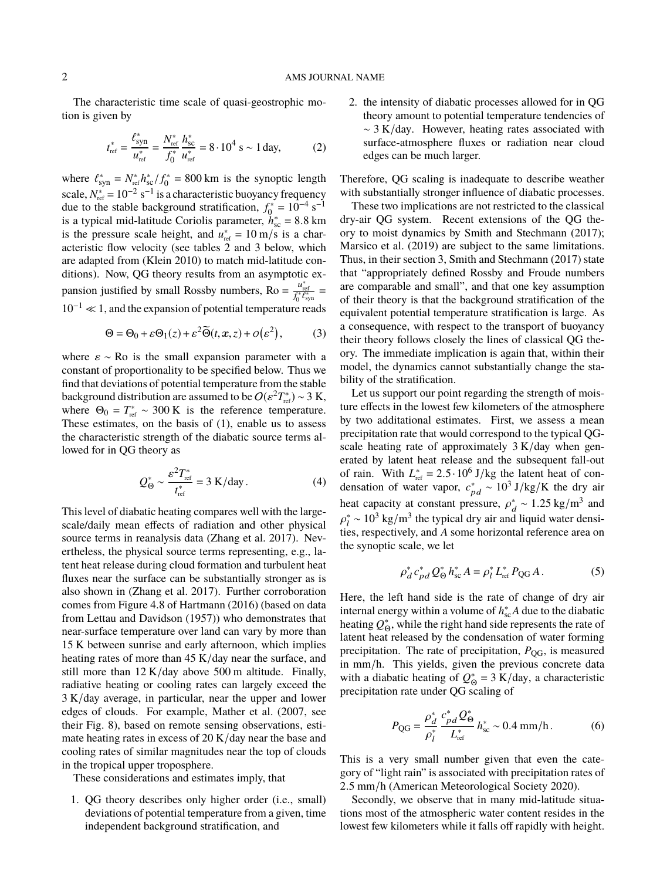The characteristic time scale of quasi-geostrophic motion is given by

$$
t_{\rm ref}^* = \frac{\ell_{\rm syn}^*}{u_{\rm ref}^*} = \frac{N_{\rm ref}^*}{f_0^*} \frac{h_{\rm sc}^*}{u_{\rm ref}^*} = 8 \cdot 10^4 \text{ s} \sim 1 \text{ day},\tag{2}
$$

where  $\ell_{syn}^* = N_{ref}^* h_{sc}^* / f_0^* = 800 \text{ km}$  is the synoptic length scale,  $N_{\text{ref}}^* = 10^{-2} \text{ s}^{-1}$  is a characteristic buoyancy frequency due to the stable background stratification,  $f_0^* = 10^{-4}$  s<sup>-1</sup> is a typical mid-latitude Coriolis parameter,  $h_{\text{sc}}^* = 8.8 \text{ km}$ <br>is the pressure scale beight, and  $u^* = 10 \text{ m/s}$  is a charis the pressure scale height, and  $u_{\text{ref}}^* = 10 \text{ m/s}$  is a characteristic flow velocity (see tables 2 and 3 below, which are adapted from (Klein 2010) to match mid-latitude conditions). Now, QG theory results from an asymptotic expansion justified by small Rossby numbers, Ro =  $\frac{u_{ref}^*}{f_0^* \ell_{syn}^*}$  =  $10^{-1} \ll 1$ , and the expansion of potential temperature reads

$$
\Theta = \Theta_0 + \varepsilon \Theta_1(z) + \varepsilon^2 \widetilde{\Theta}(t, x, z) + o(\varepsilon^2), \tag{3}
$$

where  $\varepsilon \sim \text{Ro}$  is the small expansion parameter with a constant of proportionality to be specified below. Thus we find that deviations of potential temperature from the stable background distribution are assumed to be  $O(\varepsilon^2 T_{\text{ref}}^*) \sim 3 \text{ K}$ ,<br>where  $\Theta_0 = T^* \sim 300 \text{ K}$  is the reference temperature where  $\Theta_0 = T_{\text{ref}}^* \sim 300 \text{ K}$  is the reference temperature. These estimates, on the basis of (1), enable us to assess the characteristic strength of the diabatic source terms allowed for in QG theory as

$$
Q_{\Theta}^* \sim \frac{\varepsilon^2 T_{\text{ref}}^*}{t_{\text{ref}}^*} = 3 \text{ K/day}.
$$
 (4)

This level of diabatic heating compares well with the largescale/daily mean effects of radiation and other physical source terms in reanalysis data (Zhang et al. 2017). Nevertheless, the physical source terms representing, e.g., latent heat release during cloud formation and turbulent heat fluxes near the surface can be substantially stronger as is also shown in (Zhang et al. 2017). Further corroboration comes from Figure 4.8 of Hartmann (2016) (based on data from Lettau and Davidson (1957)) who demonstrates that near-surface temperature over land can vary by more than 15 K between sunrise and early afternoon, which implies heating rates of more than 45 K/day near the surface, and still more than  $12 K/day$  above 500 m altitude. Finally, radiative heating or cooling rates can largely exceed the 3 K/day average, in particular, near the upper and lower edges of clouds. For example, Mather et al. (2007, see their Fig. 8), based on remote sensing observations, estimate heating rates in excess of 20 K/day near the base and cooling rates of similar magnitudes near the top of clouds in the tropical upper troposphere.

These considerations and estimates imply, that

1. QG theory describes only higher order (i.e., small) deviations of potential temperature from a given, time independent background stratification, and

2. the intensity of diabatic processes allowed for in QG theory amount to potential temperature tendencies of  $\sim$  3 K/day. However, heating rates associated with surface-atmosphere fluxes or radiation near cloud edges can be much larger.

Therefore, QG scaling is inadequate to describe weather with substantially stronger influence of diabatic processes.

These two implications are not restricted to the classical dry-air QG system. Recent extensions of the QG theory to moist dynamics by Smith and Stechmann (2017); Marsico et al. (2019) are subject to the same limitations. Thus, in their section 3, Smith and Stechmann (2017) state that "appropriately defined Rossby and Froude numbers are comparable and small", and that one key assumption of their theory is that the background stratification of the equivalent potential temperature stratification is large. As a consequence, with respect to the transport of buoyancy their theory follows closely the lines of classical QG theory. The immediate implication is again that, within their model, the dynamics cannot substantially change the stability of the stratification.

Let us support our point regarding the strength of moisture effects in the lowest few kilometers of the atmosphere by two additational estimates. First, we assess a mean precipitation rate that would correspond to the typical QGscale heating rate of approximately  $3 K/day$  when generated by latent heat release and the subsequent fall-out of rain. With  $L_{\text{ref}}^* = 2.5 \cdot 10^6 \text{ J/kg}$  the latent heat of con-<br>densation of water vapor  $c^* \approx 10^3 \text{ J/kg/K}$  the dry air densation of water vapor,  $c_{pd}^* \sim 10^3 \text{ J/kg/K}$  the dry air heat capacity at constant pressure,  $\rho_d^* \sim 1.25 \text{ kg/m}^3$  and  $\epsilon^* = 10^3 \text{ kg/m}^3$  the tuning dry gir and liquid water dangi ties, respectively, and *A* some horizontal reference area on  $\frac{1}{l} \sim 10^3 \text{ kg/m}^3$  the typical dry air and liquid water densithe synoptic scale, we let

$$
\rho_d^* c_{pd}^* Q_{\Theta}^* h_{\rm sc}^* A = \rho_l^* L_{\rm ref}^* P_{\rm QG} A \,. \tag{5}
$$

Here, the left hand side is the rate of change of dry air internal energy within a volume of  $h$ <sup>\*</sup> ∗ due to the diabatic heating  $Q_{\Theta}^*$ , while the right hand side represents the rate of latent heat released by the condensation of water forming precipitation. The rate of precipitation, *P*<sub>OG</sub>, is measured in mm/h. This yields, given the previous concrete data with a diabatic heating of  $Q_{\Theta}^* = 3$  K/day, a characteristic precipitation rate under QG scaling of

$$
P_{\rm QG} = \frac{\rho_d^*}{\rho_l^*} \frac{c_{pd}^* Q_{\Theta}^*}{L_{\rm ref}^*} h_{\rm sc}^* \sim 0.4 \, \text{mm/h} \,. \tag{6}
$$

This is a very small number given that even the category of "light rain" is associated with precipitation rates of <sup>2</sup>.5 mm/<sup>h</sup> (American Meteorological Society 2020).

Secondly, we observe that in many mid-latitude situations most of the atmospheric water content resides in the lowest few kilometers while it falls off rapidly with height.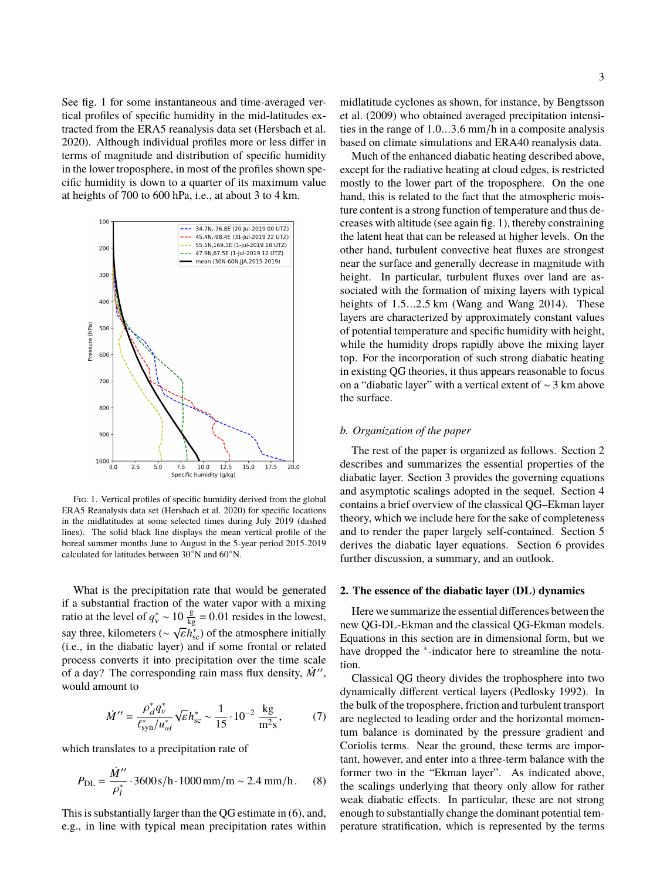See fig. 1 for some instantaneous and time-averaged vertical profiles of specific humidity in the mid-latitudes extracted from the ERA5 reanalysis data set (Hersbach et al. 2020). Although individual profiles more or less differ in terms of magnitude and distribution of specific humidity in the lower troposphere, in most of the profiles shown specific humidity is down to a quarter of its maximum value at heights of 700 to 600 hPa, i.e., at about 3 to 4 km.



Fig. 1. Vertical profiles of specific humidity derived from the global ERA5 Reanalysis data set (Hersbach et al. 2020) for specific locations in the midlatitudes at some selected times during July 2019 (dashed lines). The solid black line displays the mean vertical profile of the boreal summer months June to August in the 5-year period 2015-2019 calculated for latitudes between 30◦N and 60◦N.

What is the precipitation rate that would be generated if a substantial fraction of the water vapor with a mixing ratio at the level of  $q_v^* \sim 10 \frac{g}{kg} = 0.01$  resides in the lowest, say three, kilometers ( $\sim \sqrt{\epsilon}h_{\rm sc}^{*}$ ) of the atmosphere initially (i.e., in the diabatic layer) and if some frontal or related (i.e., in the diabatic layer) and if some frontal or related process converts it into precipitation over the time scale of a day? The corresponding rain mass flux density,  $\dot{M}$ ", would amount to

$$
\dot{M}^{"} = \frac{\rho_d^* q_v^*}{\ell_{syn}^* / u_{\text{ref}}^*} \sqrt{\varepsilon} h_{\text{sc}}^* \sim \frac{1}{15} \cdot 10^{-2} \frac{\text{kg}}{\text{m}^2 \text{s}},\tag{7}
$$

which translates to a precipitation rate of

$$
P_{\rm DL} = \frac{\dot{M}^{\prime\prime}}{\rho_l^*} \cdot 3600 \, \text{s/h} \cdot 1000 \, \text{mm/m} \sim 2.4 \, \text{mm/h} \,. \tag{8}
$$

This is substantially larger than the QG estimate in (6), and, e.g., in line with typical mean precipitation rates within

midlatitude cyclones as shown, for instance, by Bengtsson et al. (2009) who obtained averaged precipitation intensities in the range of <sup>1</sup>.0...3.6 mm/<sup>h</sup> in a composite analysis based on climate simulations and ERA40 reanalysis data.

Much of the enhanced diabatic heating described above, except for the radiative heating at cloud edges, is restricted mostly to the lower part of the troposphere. On the one hand, this is related to the fact that the atmospheric moisture content is a strong function of temperature and thus decreases with altitude (see again fig. 1), thereby constraining the latent heat that can be released at higher levels. On the other hand, turbulent convective heat fluxes are strongest near the surface and generally decrease in magnitude with height. In particular, turbulent fluxes over land are associated with the formation of mixing layers with typical heights of 1.5...2.5 km (Wang and Wang 2014). These layers are characterized by approximately constant values of potential temperature and specific humidity with height, while the humidity drops rapidly above the mixing layer top. For the incorporation of such strong diabatic heating in existing QG theories, it thus appears reasonable to focus on a "diabatic layer" with a vertical extent of ∼ 3 km above the surface.

### *b. Organization of the paper*

The rest of the paper is organized as follows. Section 2 describes and summarizes the essential properties of the diabatic layer. Section 3 provides the governing equations and asymptotic scalings adopted in the sequel. Section 4 contains a brief overview of the classical QG–Ekman layer theory, which we include here for the sake of completeness and to render the paper largely self-contained. Section 5 derives the diabatic layer equations. Section 6 provides further discussion, a summary, and an outlook.

#### **2. The essence of the diabatic layer (DL) dynamics**

Here we summarize the essential differences between the new QG-DL-Ekman and the classical QG-Ekman models. Equations in this section are in dimensional form, but we have dropped the <sup>∗</sup>-indicator here to streamline the notation.

Classical QG theory divides the trophosphere into two dynamically different vertical layers (Pedlosky 1992). In the bulk of the troposphere, friction and turbulent transport are neglected to leading order and the horizontal momentum balance is dominated by the pressure gradient and Coriolis terms. Near the ground, these terms are important, however, and enter into a three-term balance with the former two in the "Ekman layer". As indicated above, the scalings underlying that theory only allow for rather weak diabatic effects. In particular, these are not strong enough to substantially change the dominant potential temperature stratification, which is represented by the terms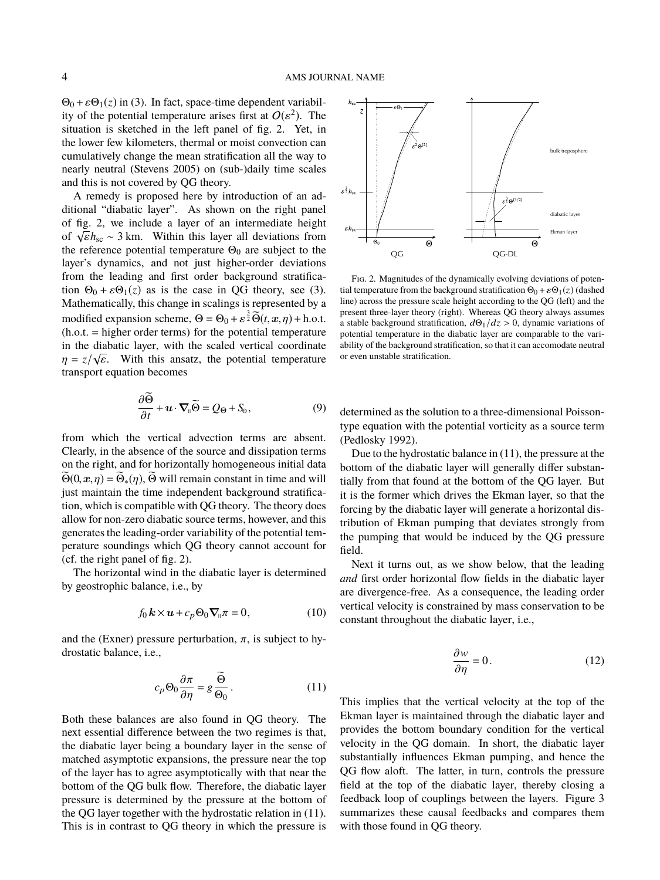$\Theta_0 + \varepsilon \Theta_1(z)$  in (3). In fact, space-time dependent variability of the potential temperature arises first at  $O(\varepsilon^2)$ . The situation is sketched in the left panel of fig. 2. Yet in situation is sketched in the left panel of fig. 2. Yet, in the lower few kilometers, thermal or moist convection can cumulatively change the mean stratification all the way to nearly neutral (Stevens 2005) on (sub-)daily time scales and this is not covered by QG theory.

A remedy is proposed here by introduction of an additional "diabatic layer". As shown on the right panel of fig. 2, we include a layer of an intermediate height of  $\sqrt{\epsilon}h_{\rm sc} \sim 3$  km. Within this layer all deviations from<br>the reference potential temperature  $\Theta_0$  are subject to the the reference potential temperature  $\Theta_0$  are subject to the layer's dynamics, and not just higher-order deviations from the leading and first order background stratification  $\Theta_0 + \varepsilon \Theta_1(z)$  as is the case in QG theory, see (3). Mathematically, this change in scalings is represented by a modified expansion scheme,  $\Theta = \Theta_0 + \varepsilon^{\frac{3}{2}} \widetilde{\Theta}(t, x, \eta) + \text{h.o.t.}$ <br>(b o t = higher order terms) for the notential temperature (h.o.t. = higher order terms) for the potential temperature in the diabatic layer, with the scaled vertical coordinate  $\eta = z/\sqrt{\varepsilon}$ . With this ansatz, the potential temperature transport equation becomes transport equation becomes

$$
\frac{\partial \tilde{\Theta}}{\partial t} + \boldsymbol{u} \cdot \boldsymbol{\nabla}_{\mathbf{u}} \tilde{\Theta} = Q_{\Theta} + S_{\Theta},\tag{9}
$$

from which the vertical advection terms are absent. Clearly, in the absence of the source and dissipation terms on the right, and for horizontally homogeneous initial data  $\widetilde{\Theta}(0,\mathbf{x},\eta) = \widetilde{\Theta}_{*}(\eta)$ ,  $\widetilde{\Theta}$  will remain constant in time and will just maintain the time independent background stratification, which is compatible with QG theory. The theory does allow for non-zero diabatic source terms, however, and this generates the leading-order variability of the potential temperature soundings which QG theory cannot account for (cf. the right panel of fig. 2).

The horizontal wind in the diabatic layer is determined by geostrophic balance, i.e., by

$$
f_0 \, \mathbf{k} \times \mathbf{u} + c_p \Theta_0 \, \nabla_{\mathbf{u}} \pi = 0, \tag{10}
$$

and the (Exner) pressure perturbation,  $\pi$ , is subject to hydrostatic balance, i.e.,

$$
c_p \Theta_0 \frac{\partial \pi}{\partial \eta} = g \frac{\tilde{\Theta}}{\Theta_0}.
$$
 (11)

Both these balances are also found in QG theory. The next essential difference between the two regimes is that, the diabatic layer being a boundary layer in the sense of matched asymptotic expansions, the pressure near the top of the layer has to agree asymptotically with that near the bottom of the QG bulk flow. Therefore, the diabatic layer pressure is determined by the pressure at the bottom of the QG layer together with the hydrostatic relation in (11). This is in contrast to QG theory in which the pressure is



Fig. 2. Magnitudes of the dynamically evolving deviations of potential temperature from the background stratification  $\Theta_0 + \varepsilon \Theta_1(z)$  (dashed line) across the pressure scale height according to the QG (left) and the present three-layer theory (right). Whereas QG theory always assumes a stable background stratification,  $d\Theta_1/dz > 0$ , dynamic variations of potential temperature in the diabatic layer are comparable to the variability of the background stratification, so that it can accomodate neutral or even unstable stratification.

determined as the solution to a three-dimensional Poissontype equation with the potential vorticity as a source term (Pedlosky 1992).

Due to the hydrostatic balance in (11), the pressure at the bottom of the diabatic layer will generally differ substantially from that found at the bottom of the QG layer. But it is the former which drives the Ekman layer, so that the forcing by the diabatic layer will generate a horizontal distribution of Ekman pumping that deviates strongly from the pumping that would be induced by the QG pressure field.

Next it turns out, as we show below, that the leading *and* first order horizontal flow fields in the diabatic layer are divergence-free. As a consequence, the leading order vertical velocity is constrained by mass conservation to be constant throughout the diabatic layer, i.e.,

$$
\frac{\partial w}{\partial \eta} = 0. \tag{12}
$$

This implies that the vertical velocity at the top of the Ekman layer is maintained through the diabatic layer and provides the bottom boundary condition for the vertical velocity in the QG domain. In short, the diabatic layer substantially influences Ekman pumping, and hence the QG flow aloft. The latter, in turn, controls the pressure field at the top of the diabatic layer, thereby closing a feedback loop of couplings between the layers. Figure 3 summarizes these causal feedbacks and compares them with those found in QG theory.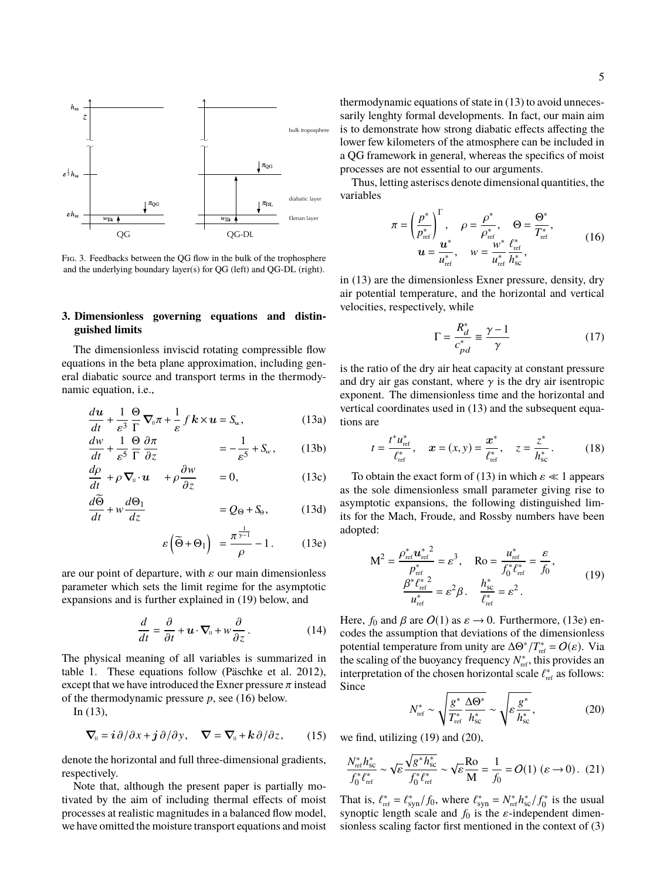

Fig. 3. Feedbacks between the QG flow in the bulk of the trophosphere and the underlying boundary layer(s) for QG (left) and QG-DL (right).

# **3. Dimensionless governing equations and distinguished limits**

The dimensionless inviscid rotating compressible flow equations in the beta plane approximation, including general diabatic source and transport terms in the thermodynamic equation, i.e.,

$$
\frac{du}{dt} + \frac{1}{\varepsilon^3} \frac{\Theta}{\Gamma} \nabla_{\mathbf{u}} \pi + \frac{1}{\varepsilon} f \mathbf{k} \times \mathbf{u} = \mathbf{S}_\mathbf{u},\tag{13a}
$$

$$
\frac{dw}{dt} + \frac{1}{\varepsilon^5} \frac{\Theta}{\Gamma} \frac{\partial \pi}{\partial z} = -\frac{1}{\varepsilon^5} + S_w, \quad (13b)
$$

$$
\frac{d\rho}{dt} + \rho \nabla_{\mathfrak{n}} \cdot \mathbf{u} + \rho \frac{\partial w}{\partial z} = 0, \qquad (13c)
$$

$$
\frac{d\Theta}{dt} + w \frac{d\Theta_1}{dz} = Q_\Theta + S_\Theta, \qquad (13d)
$$

$$
\varepsilon\left(\widetilde{\Theta} + \Theta_1\right) = \frac{\pi^{\frac{1}{\gamma - 1}}}{\rho} - 1. \tag{13e}
$$

are our point of departure, with  $\varepsilon$  our main dimensionless parameter which sets the limit regime for the asymptotic expansions and is further explained in (19) below, and

$$
\frac{d}{dt} = \frac{\partial}{\partial t} + \boldsymbol{u} \cdot \boldsymbol{\nabla}_{\!\! \mathfrak{n}} + w \frac{\partial}{\partial z} \,. \tag{14}
$$

The physical meaning of all variables is summarized in table 1. These equations follow (Päschke et al. 2012), except that we have introduced the Exner pressure  $\pi$  instead of the thermodynamic pressure *p*, see (16) below.

In (13),

$$
\nabla_{\mathfrak{u}} = i \partial / \partial x + j \partial / \partial y, \quad \nabla = \nabla_{\mathfrak{u}} + k \partial / \partial z, \qquad (15)
$$

denote the horizontal and full three-dimensional gradients, respectively.

Note that, although the present paper is partially motivated by the aim of including thermal effects of moist processes at realistic magnitudes in a balanced flow model, we have omitted the moisture transport equations and moist

thermodynamic equations of state in (13) to avoid unnecessarily lenghty formal developments. In fact, our main aim is to demonstrate how strong diabatic effects affecting the lower few kilometers of the atmosphere can be included in a QG framework in general, whereas the specifics of moist processes are not essential to our arguments.

Thus, letting asteriscs denote dimensional quantities, the variables

$$
\pi = \left(\frac{p^*}{p_{\text{ref}}^*}\right)^\Gamma, \quad \rho = \frac{\rho^*}{\rho_{\text{ref}}^*}, \quad \Theta = \frac{\Theta^*}{T_{\text{ref}}^*},
$$
  

$$
u = \frac{u^*}{u_{\text{ref}}^*}, \quad w = \frac{w^*}{u_{\text{ref}}^*} \frac{\ell_{\text{ref}}^*}{h_{\text{sc}}^*},
$$
 (16)

in (13) are the dimensionless Exner pressure, density, dry air potential temperature, and the horizontal and vertical velocities, respectively, while

$$
\Gamma = \frac{R_d^*}{c_{pd}^*} \equiv \frac{\gamma - 1}{\gamma} \tag{17}
$$

is the ratio of the dry air heat capacity at constant pressure and dry air gas constant, where  $\gamma$  is the dry air isentropic exponent. The dimensionless time and the horizontal and vertical coordinates used in (13) and the subsequent equations are

$$
t = \frac{t^* u_{\text{ref}}^*}{\ell_{\text{ref}}^*}, \quad \mathbf{x} = (x, y) = \frac{\mathbf{x}^*}{\ell_{\text{ref}}^*}, \quad z = \frac{z^*}{h_{\text{sc}}^*}.
$$
 (18)

To obtain the exact form of (13) in which  $\varepsilon \ll 1$  appears as the sole dimensionless small parameter giving rise to asymptotic expansions, the following distinguished limits for the Mach, Froude, and Rossby numbers have been adopted:

$$
M^{2} = \frac{\rho_{ref}^{*} u_{ref}^{* 2}}{\rho_{ref}^{*}} = \varepsilon^{3}, \quad R_{0} = \frac{u_{ref}^{*}}{f_{0}^{*} \ell_{ref}^{*}} = \frac{\varepsilon}{f_{0}},
$$
  

$$
\frac{\beta^{*} \ell_{ref}^{* 2}}{u_{ref}^{*}} = \varepsilon^{2} \beta. \quad \frac{h_{sc}^{*}}{\ell_{ref}^{*}} = \varepsilon^{2}.
$$
 (19)

Here,  $f_0$  and  $\beta$  are  $O(1)$  as  $\varepsilon \to 0$ . Furthermore, (13e) encodes the assumption that deviations of the dimensionless potential temperature from unity are  $\Delta\Theta^*/T_{\text{ref}}^* = O(\varepsilon)$ . Via<br>the scaling of the buoyancy frequency  $N^*$ , this provides an the scaling of the buoyancy frequency  $N_{\text{ref}}^*$ , this provides an interpretation of the chosen horizontal scale  $\ell_{\text{ref}}^*$  as follows:<br>Since Since

$$
N_{\text{ref}}^* \sim \sqrt{\frac{g^*}{T_{\text{ref}}^*} \frac{\Delta \Theta^*}{h_{\text{sc}}^*}} \sim \sqrt{\varepsilon \frac{g^*}{h_{\text{sc}}^*}},\tag{20}
$$

we find, utilizing (19) and (20),

$$
\frac{N_{\text{ref}}^* h_{\text{sc}}^*}{f_0^* \ell_{\text{ref}}^*} \sim \sqrt{\varepsilon} \frac{\sqrt{g^* h_{\text{sc}}^*}}{f_0^* \ell_{\text{ref}}^*} \sim \sqrt{\varepsilon} \frac{\text{Ro}}{\text{M}} = \frac{1}{f_0} = O(1) \ (\varepsilon \to 0). \tag{21}
$$

That is,  $\ell_{\text{ref}}^* = \ell_{\text{syn}}^*/f_0$ , where  $\ell_{\text{syn}}^* = N_{\text{ref}}^* h_{\text{sc}}^*/f_0^*$  is the usual synoptic length scale and  $f_0$  is the s-independent dimensynoptic length scale and  $f_0$  is the  $\varepsilon$ -independent dimensionless scaling factor first mentioned in the context of (3)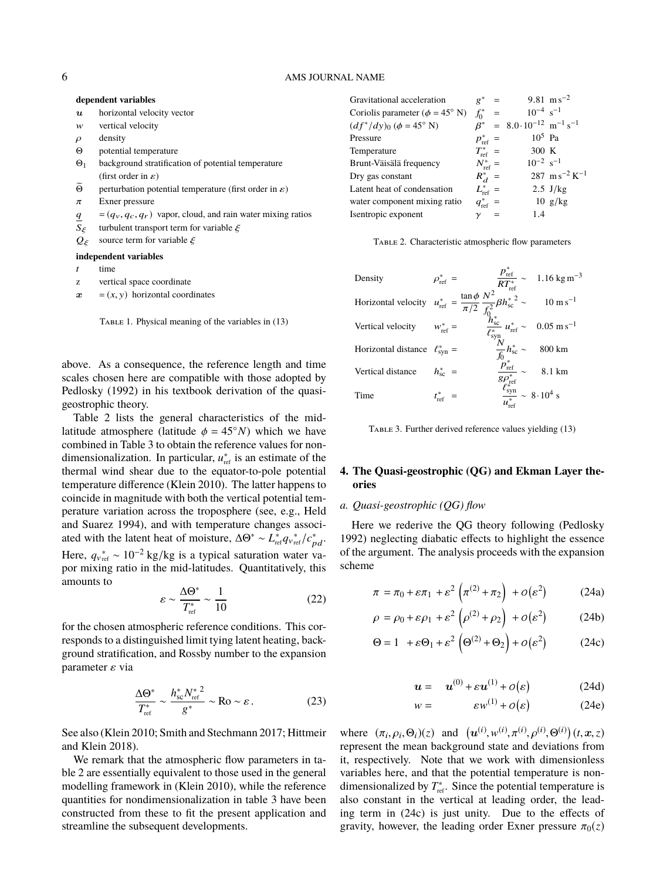#### **dependent variables**

| horizontal velocity vector<br>$\boldsymbol{u}$ |  |
|------------------------------------------------|--|
|------------------------------------------------|--|

- w vertical velocity
- $ρ$  density<br>Θ notentis
- potential temperature
- Θ<sup>1</sup> background stratification of potential temperature (first order in  $\varepsilon$ )
- $\widetilde{\Theta}$  perturbation potential temperature (first order in *ε*) Exner pressure
- $\pi$  Exner pressure<br>  $q = (q_v, q_c, q_r)$  $q = (q_v, q_c, q_r)$  vapor, cloud, and rain water mixing ratios<br>  $S_\xi$  turbulent transport term for variable  $\xi$
- S<sub>ξ</sub> turbulent transport term for variable  $\xi$ <br>Q<sub>ξ</sub> source term for variable  $\xi$

source term for variable  $\xi$ 

#### **independent variables**

- time
- z vertical space coordinate
- $x = (x, y)$  horizontal coordinates

above. As a consequence, the reference length and time scales chosen here are compatible with those adopted by Pedlosky (1992) in his textbook derivation of the quasigeostrophic theory.

Table 2 lists the general characteristics of the midlatitude atmosphere (latitude  $\phi = 45°N$ ) which we have combined in Table 3 to obtain the reference values for nondimensionalization. In particular,  $u_{\text{ref}}^*$  is an estimate of the thermal wind shear due to the equator-to-pole potential temperature difference (Klein 2010). The latter happens to coincide in magnitude with both the vertical potential temperature variation across the troposphere (see, e.g., Held and Suarez 1994), and with temperature changes associated with the latent heat of moisture,  $\Delta\Theta^* \sim L_{\text{ref}}^* q_{v_{\text{ref}}}^* / c_{pd}^*$ . Here,  $q_{v_{ref}}^* \sim 10^{-2}$  kg/kg is a typical saturation water vapor mixing ratio in the mid-latitudes. Quantitatively, this amounts to

$$
\varepsilon \sim \frac{\Delta \Theta^*}{T_{\text{ref}}^*} \sim \frac{1}{10} \tag{22}
$$

for the chosen atmospheric reference conditions. This corresponds to a distinguished limit tying latent heating, background stratification, and Rossby number to the expansion parameter  $\varepsilon$  via

$$
\frac{\Delta \Theta^*}{T_{\text{ref}}^*} \sim \frac{h_{\text{sc}}^* N_{\text{ref}}^{*2}}{g^*} \sim \text{Ro} \sim \varepsilon.
$$
 (23)

See also (Klein 2010; Smith and Stechmann 2017; Hittmeir and Klein 2018).

We remark that the atmospheric flow parameters in table 2 are essentially equivalent to those used in the general modelling framework in (Klein 2010), while the reference quantities for nondimensionalization in table 3 have been constructed from these to fit the present application and streamline the subsequent developments.

| Gravitational acceleration                  | $g^*$                | $=$      |                                                                   | 9.81 $\text{m s}^{-2}$                |
|---------------------------------------------|----------------------|----------|-------------------------------------------------------------------|---------------------------------------|
| Coriolis parameter ( $\phi = 45^{\circ}$ N) | $f_0^*$              | $\equiv$ | $10^{-4}$ s <sup>-1</sup>                                         |                                       |
| $(df^*/dy)_0 (\phi = 45^\circ \text{ N})$   |                      |          | $\beta^*$ = 8.0.10 <sup>-12</sup> m <sup>-1</sup> s <sup>-1</sup> |                                       |
| Pressure                                    | $p_{\text{ref}}^*$ = |          | $10^5$ Pa                                                         |                                       |
| Temperature                                 | $T_{\rm ref}^*$ =    |          | 300 K                                                             |                                       |
| Brunt-Väisälä frequency                     | $N_{\text{ref}}^*$ = |          | $10^{-2}$ s <sup>-1</sup>                                         |                                       |
| Dry gas constant                            | $R_{d}^{*}$ =        |          |                                                                   | $287 \text{ m s}^{-2} \text{ K}^{-1}$ |
| Latent heat of condensation                 | $L_{\text{ref}}^*$ = |          |                                                                   | $2.5$ J/kg                            |
| water component mixing ratio                | $q_{\text{ref}}^*$ = |          |                                                                   | $10 \text{ g/kg}$                     |
| Isentropic exponent                         |                      | $\equiv$ | 1.4                                                               |                                       |
|                                             |                      |          |                                                                   |                                       |

Table 2. Characteristic atmospheric flow parameters

| Density                              | $\rho_{\rm ref}^*$ = |                                                                                                                      | $\frac{p_{\text{ref}}^*}{RT_{\text{ref}}^*} \sim 1.16 \text{ kg m}^{-3}$   |
|--------------------------------------|----------------------|----------------------------------------------------------------------------------------------------------------------|----------------------------------------------------------------------------|
| Horizontal velocity                  |                      | $u_{\rm ref}^* = \frac{\tan \phi}{\pi/2} \frac{N^2}{f_0^2} {\beta h_{\rm sc}^*}^2 \sim \qquad 10 \, \rm m \, s^{-1}$ |                                                                            |
| Vertical velocity                    | $w_{\text{ref}}^*$ = | $\frac{h_{\rm sc}^*}{\ell_{\rm syn}^* n_{\rm ref}} \sim 0.05 \text{ m s}^{-1}$                                       |                                                                            |
| Horizontal distance $\ell_{syn}^* =$ |                      | $\frac{N}{f_0}h_{\rm sc}^*\sim 800\ \rm km$                                                                          |                                                                            |
| Vertical distance                    | $h_{\rm sc}^*$ =     |                                                                                                                      | $\frac{\dot{p}_{\text{ref}}^*}{g \rho_{\text{ref}}^*} \sim 8.1 \text{ km}$ |
| Time                                 |                      | $\frac{\ell_{syn}^{*}}{u^{*}} \sim 8.10^{4}$ s                                                                       |                                                                            |

TABLE 3. Further derived reference values yielding (13)

# **4. The Quasi-geostrophic (QG) and Ekman Layer theories**

### *a. Quasi-geostrophic (QG) flow*

Here we rederive the QG theory following (Pedlosky 1992) neglecting diabatic effects to highlight the essence of the argument. The analysis proceeds with the expansion scheme

$$
\pi = \pi_0 + \varepsilon \pi_1 + \varepsilon^2 \left( \pi^{(2)} + \pi_2 \right) + o(\varepsilon^2) \tag{24a}
$$

$$
\rho = \rho_0 + \varepsilon \rho_1 + \varepsilon^2 \left( \rho^{(2)} + \rho_2 \right) + o(\varepsilon^2) \tag{24b}
$$

$$
\Theta = 1 + \varepsilon \Theta_1 + \varepsilon^2 \left( \Theta^{(2)} + \Theta_2 \right) + o(\varepsilon^2) \tag{24c}
$$

$$
u = u^{(0)} + \varepsilon u^{(1)} + o(\varepsilon) \tag{24d}
$$

$$
w = \varepsilon w^{(1)} + o(\varepsilon) \tag{24e}
$$

where  $(\pi_i, \rho_i, \Theta_i)(z)$  and  $(u^{(i)}, w^{(i)}, \pi^{(i)}, \rho^{(i)}, \Theta^{(i)})(t, x, z)$ <br>represent the mean background state and deviations from where  $(\pi_i, \rho_i, \Theta_i)(z)$  and  $(\mathbf{u}^{(v)}, \mathbf{w}^{(v)}, \pi^{(v)}, \mathbf{p}^{(v)}, \Theta^{(v)})$  (*t*, *t*, *z*) represent the mean background state and deviations from it, respectively. Note that we work with dimensionless variables here, and that the potential temperature is nondimensionalized by  $T_{\text{ref}}^*$ . Since the potential temperature is also constant in the vertical at leading order, the leading term in (24c) is just unity. Due to the effects of gravity, however, the leading order Exner pressure  $\pi_0(z)$ 

TABLE 1. Physical meaning of the variables in (13)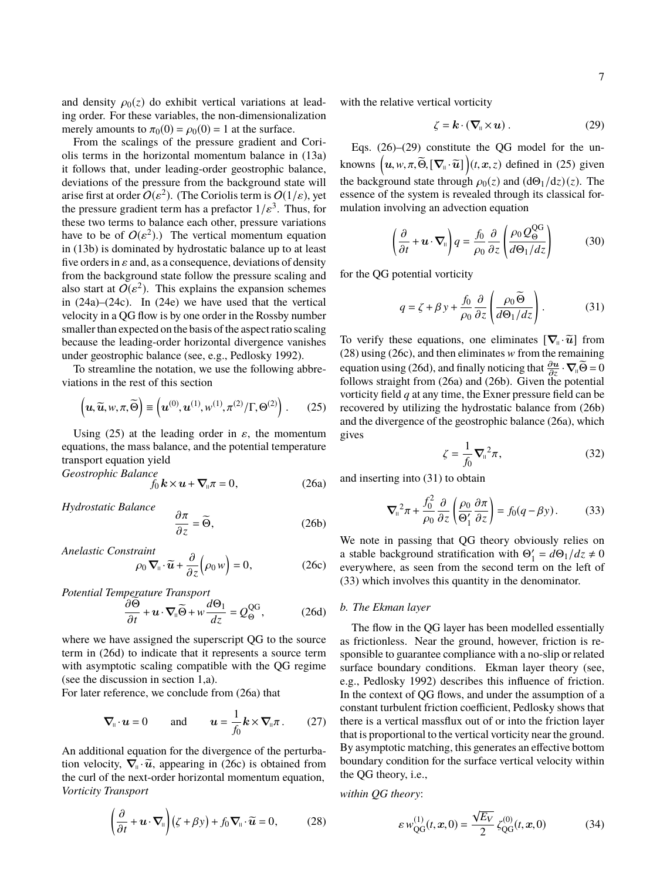and density  $\rho_0(z)$  do exhibit vertical variations at leading order. For these variables, the non-dimensionalization merely amounts to  $\pi_0(0) = \rho_0(0) = 1$  at the surface.

From the scalings of the pressure gradient and Coriolis terms in the horizontal momentum balance in (13a) it follows that, under leading-order geostrophic balance, deviations of the pressure from the background state will arise first at order  $O(\epsilon^2)$ . (The Coriolis term is  $O(1/\epsilon)$ , yet<br>the pressure gradient term has a prefactor  $1/\epsilon^3$ . Thus, for the pressure gradient term has a prefactor  $1/\varepsilon^3$ . Thus, for<br>these two terms to balance each other pressure variations these two terms to balance each other, pressure variations have to be of  $O(\varepsilon^2)$ .) The vertical momentum equation<br>in (13b) is dominated by hydrostatic balance up to at least in (13b) is dominated by hydrostatic balance up to at least five orders in  $\varepsilon$  and, as a consequence, deviations of density from the background state follow the pressure scaling and also start at  $O(\varepsilon^2)$ . This explains the expansion schemes<br>in (24a)–(24c) In (24e) we have used that the vertical in (24a)–(24c). In (24e) we have used that the vertical velocity in a QG flow is by one order in the Rossby number smaller than expected on the basis of the aspect ratio scaling because the leading-order horizontal divergence vanishes under geostrophic balance (see, e.g., Pedlosky 1992).

To streamline the notation, we use the following abbreviations in the rest of this section

$$
\left(\mathbf{u},\widetilde{\mathbf{u}},w,\pi,\widetilde{\Theta}\right)\equiv\left(\mathbf{u}^{(0)},\mathbf{u}^{(1)},w^{(1)},\pi^{(2)}/\Gamma,\Theta^{(2)}\right). \tag{25}
$$

Using (25) at the leading order in  $\varepsilon$ , the momentum equations, the mass balance, and the potential temperature transport equation yield Geostrophic Balance

$$
f_0 \, \mathbf{k} \times \mathbf{u} + \nabla_{\mathbf{u}} \pi = 0, \tag{26a}
$$

Hydrostatic Balance

$$
\frac{\partial \pi}{\partial z} = \widetilde{\Theta},\tag{26b}
$$

Anelastic Constraint

$$
\rho_0 \nabla_{\mathfrak{m}} \cdot \widetilde{u} + \frac{\partial}{\partial z} \Big( \rho_0 w \Big) = 0, \qquad (26c)
$$

Potential Temperature Transport

$$
\frac{\partial \Theta}{\partial t} + \boldsymbol{u} \cdot \boldsymbol{\nabla}_{\mathbf{u}} \widetilde{\Theta} + w \frac{d\Theta_1}{dz} = Q_{\Theta}^{\text{QG}},\tag{26d}
$$

where we have assigned the superscript QG to the source term in (26d) to indicate that it represents a source term with asymptotic scaling compatible with the QG regime (see the discussion in section 1,a).

For later reference, we conclude from (26a) that

$$
\nabla_{\mathfrak{n}} \cdot \boldsymbol{u} = 0 \quad \text{and} \quad \boldsymbol{u} = \frac{1}{f_0} \boldsymbol{k} \times \nabla_{\mathfrak{n}} \pi \,. \tag{27}
$$

An additional equation for the divergence of the perturbation velocity,  $\nabla_{\mathbf{u}} \cdot \widetilde{\mathbf{u}}$ , appearing in (26c) is obtained from<br>the curl of the next order borizontal momentum equation. the curl of the next-order horizontal momentum equation, Vorticity Transport

$$
\left(\frac{\partial}{\partial t} + \boldsymbol{u} \cdot \boldsymbol{\nabla}_{\mathfrak{u}}\right) \left(\zeta + \beta y\right) + f_0 \boldsymbol{\nabla}_{\mathfrak{u}} \cdot \widetilde{\boldsymbol{u}} = 0, \tag{28}
$$

with the relative vertical vorticity

$$
\zeta = \mathbf{k} \cdot (\nabla_{\mathbf{u}} \times \mathbf{u}) \,. \tag{29}
$$

Eqs. (26)–(29) constitute the QG model for the unknowns  $(u, w, \pi, \widetilde{\Theta}, [\nabla_{\shortparallel} \cdot \widetilde{u}]) (t, x, z)$  defined in (25) given the background state through  $\rho_0(z)$  and  $(d\Theta_1/dz)(z)$ . The essence of the system is revealed through its classical formulation involving an advection equation

$$
\left(\frac{\partial}{\partial t} + \mathbf{u} \cdot \nabla_{\mathbf{u}}\right) q = \frac{f_0}{\rho_0} \frac{\partial}{\partial z} \left(\frac{\rho_0 Q_{\Theta}^{\mathrm{QG}}}{d\Theta_1/dz}\right) \tag{30}
$$

for the QG potential vorticity

$$
q = \zeta + \beta y + \frac{f_0}{\rho_0} \frac{\partial}{\partial z} \left( \frac{\rho_0 \widetilde{\Theta}}{d\Theta_1/dz} \right). \tag{31}
$$

To verify these equations, one eliminates  $[\nabla_{\theta} \cdot \tilde{u}]$  from<br>(28) using (26c) and then eliminates w from the remaining  $(28)$  using  $(26c)$ , and then eliminates w from the remaining equation using (26d), and finally noticing that  $\frac{\partial u}{\partial z} \cdot \nabla_{\parallel} \widetilde{\Theta} = 0$ follows straight from (26a) and (26b). Given the potential vorticity field *q* at any time, the Exner pressure field can be recovered by utilizing the hydrostatic balance from (26b) and the divergence of the geostrophic balance (26a), which gives

$$
\zeta = \frac{1}{f_0} \nabla_{\mathfrak{n}}^2 \pi,\tag{32}
$$

and inserting into (31) to obtain

$$
\nabla_{\mathbf{u}}^2 \pi + \frac{f_0^2}{\rho_0} \frac{\partial}{\partial z} \left( \frac{\rho_0}{\Theta_1'} \frac{\partial \pi}{\partial z} \right) = f_0(q - \beta y). \tag{33}
$$

We note in passing that QG theory obviously relies on a stable background stratification with  $\Theta'_1 = d\Theta_1/dz \neq 0$ everywhere, as seen from the second term on the left of (33) which involves this quantity in the denominator.

#### *b. The Ekman layer*

The flow in the QG layer has been modelled essentially as frictionless. Near the ground, however, friction is responsible to guarantee compliance with a no-slip or related surface boundary conditions. Ekman layer theory (see, e.g., Pedlosky 1992) describes this influence of friction. In the context of QG flows, and under the assumption of a constant turbulent friction coefficient, Pedlosky shows that there is a vertical massflux out of or into the friction layer that is proportional to the vertical vorticity near the ground. By asymptotic matching, this generates an effective bottom boundary condition for the surface vertical velocity within the QG theory, i.e.,

within QG theory:

$$
\varepsilon w_{\text{QG}}^{(1)}(t, x, 0) = \frac{\sqrt{E_V}}{2} \zeta_{\text{QG}}^{(0)}(t, x, 0)
$$
 (34)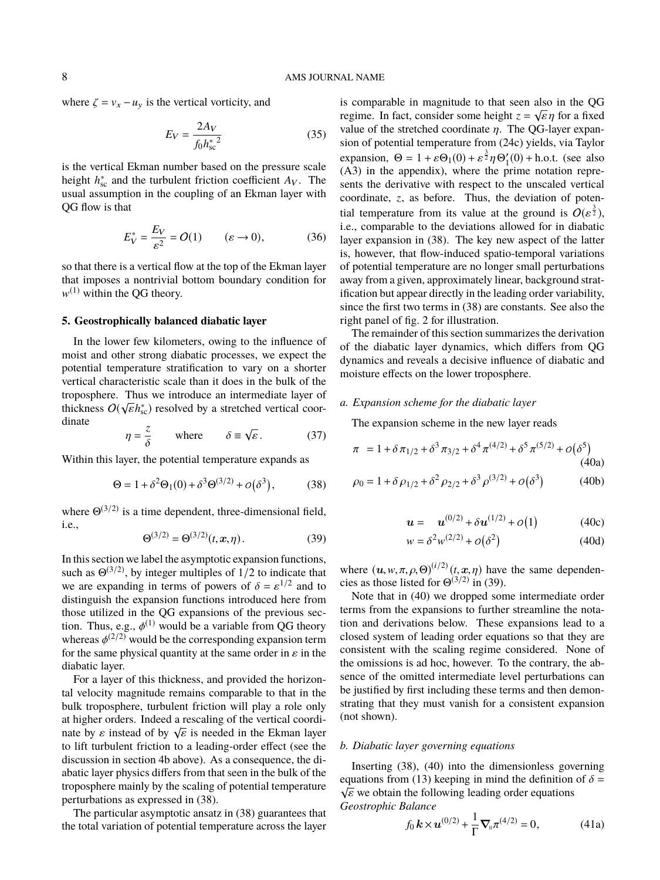where  $\zeta = v_x - u_y$  is the vertical vorticity, and

$$
E_V = \frac{2A_V}{f_0 h_{\rm sc}^*{}^2} \tag{35}
$$

is the vertical Ekman number based on the pressure scale height  $h_{\rm sc}^*$  and the turbulent friction coefficient  $A_V$ . The usual assumption in the coupling of an Ekman layer with QG flow is that

$$
E_V^* = \frac{E_V}{\varepsilon^2} = O(1) \qquad (\varepsilon \to 0), \tag{36}
$$

so that there is a vertical flow at the top of the Ekman layer that imposes a nontrivial bottom boundary condition for  $w^{(1)}$  within the QG theory.

### **5. Geostrophically balanced diabatic layer**

In the lower few kilometers, owing to the influence of moist and other strong diabatic processes, we expect the potential temperature stratification to vary on a shorter vertical characteristic scale than it does in the bulk of the troposphere. Thus we introduce an intermediate layer of thickness  $O(\sqrt{\varepsilon}h_{\rm sc}^*)$  resolved by a stretched vertical coor-<br>dinate dinate √

$$
\eta = \frac{z}{\delta} \qquad \text{where} \qquad \delta \equiv \sqrt{\varepsilon}. \tag{37}
$$

Within this layer, the potential temperature expands as

$$
\Theta = 1 + \delta^2 \Theta_1(0) + \delta^3 \Theta^{(3/2)} + o(\delta^3), \tag{38}
$$

where  $\Theta^{(3/2)}$  is a time dependent, three-dimensional field, i.e.,

$$
\Theta^{(3/2)} = \Theta^{(3/2)}(t, x, \eta). \tag{39}
$$

In this section we label the asymptotic expansion functions, such as  $\Theta^{(3/2)}$ , by integer multiples of  $1/2$  to indicate that we are expanding in terms of powers of  $\delta = \varepsilon^{1/2}$  and to distinguish the expansion functions introduced here from distinguish the expansion functions introduced here from those utilized in the QG expansions of the previous section. Thus, e.g.,  $\phi$ <br>whereas  $\phi^{(2/2)}$  word tion. Thus, e.g.,  $\phi^{(1)}$  would be a variable from QG theory whereas  $\phi^{(2/2)}$  would be the corresponding expansion term<br>for the same physical quantity at the same order in s in the for the same physical quantity at the same order in  $\varepsilon$  in the diabatic layer.

For a layer of this thickness, and provided the horizontal velocity magnitude remains comparable to that in the bulk troposphere, turbulent friction will play a role only at higher orders. Indeed a rescaling of the vertical coordiat ingler orders. Indeed a rescaling of the vertical coordi-<br>nate by  $\varepsilon$  instead of by  $\sqrt{\varepsilon}$  is needed in the Ekman layer<br>to lift turbulent friction to a leading-order effect (see the to lift turbulent friction to a leading-order effect (see the discussion in section 4b above). As a consequence, the diabatic layer physics differs from that seen in the bulk of the troposphere mainly by the scaling of potential temperature perturbations as expressed in (38).

The particular asymptotic ansatz in (38) guarantees that the total variation of potential temperature across the layer

is comparable in magnitude to that seen also in the QG regime. In fact, consider some height  $z = \sqrt{\varepsilon} \eta$  for a fixed<br>value of the stretched coordinate *n*. The OG-laver expanvalue of the stretched coordinate  $\eta$ . The QG-layer expansion of potential temperature from (24c) yields, via Taylor expansion,  $\Theta = 1 + \varepsilon \Theta_1(0) + \varepsilon^{\frac{3}{2}} \eta \Theta_1'(0) + \text{h.o.t.}$  (see also (A3) in the annendix) where the prime notation repre-(A3) in the appendix), where the prime notation represents the derivative with respect to the unscaled vertical coordinate, *z*, as before. Thus, the deviation of potential temperature from its value at the ground is  $O(\varepsilon^{\frac{3}{2}})$ ,<br>i.e., comparable to the deviations allowed for in diabatic i.e., comparable to the deviations allowed for in diabatic layer expansion in (38). The key new aspect of the latter is, however, that flow-induced spatio-temporal variations of potential temperature are no longer small perturbations away from a given, approximately linear, background stratification but appear directly in the leading order variability, since the first two terms in (38) are constants. See also the right panel of fig. 2 for illustration.

The remainder of this section summarizes the derivation of the diabatic layer dynamics, which differs from QG dynamics and reveals a decisive influence of diabatic and moisture effects on the lower troposphere.

# *a. Expansion scheme for the diabatic layer*

The expansion scheme in the new layer reads

$$
\pi = 1 + \delta \pi_{1/2} + \delta^3 \pi_{3/2} + \delta^4 \pi^{(4/2)} + \delta^5 \pi^{(5/2)} + o(\delta^5)
$$
\n(40a)

$$
\rho_0 = 1 + \delta \rho_{1/2} + \delta^2 \rho_{2/2} + \delta^3 \rho^{(3/2)} + o(\delta^3)
$$
 (40b)

$$
u = u^{(0/2)} + \delta u^{(1/2)} + o(1)
$$
 (40c)

$$
w = \delta^2 w^{(2/2)} + o(\delta^2)
$$
 (40d)

where  $(u, w, \pi, \rho, \Theta)^{(i/2)}(t, x, \eta)$  have the same dependen-<br>cies as those listed for  $\Theta^{(3/2)}$  in (39) cies as those listed for  $\Theta^{(3/2)}$  in (39).

Note that in (40) we dropped some intermediate order terms from the expansions to further streamline the notation and derivations below. These expansions lead to a closed system of leading order equations so that they are consistent with the scaling regime considered. None of the omissions is ad hoc, however. To the contrary, the absence of the omitted intermediate level perturbations can be justified by first including these terms and then demonstrating that they must vanish for a consistent expansion (not shown).

#### *b. Diabatic layer governing equations*

Inserting (38), (40) into the dimensionless governing equations from (13) keeping in mind the definition of  $\delta =$  $\sqrt{\varepsilon}$  we obtain the following leading order equations Geostrophic Balance

$$
f_0 \, \mathbf{k} \times \mathbf{u}^{(0/2)} + \frac{1}{\Gamma} \nabla_{\shortparallel} \pi^{(4/2)} = 0,
$$
 (41a)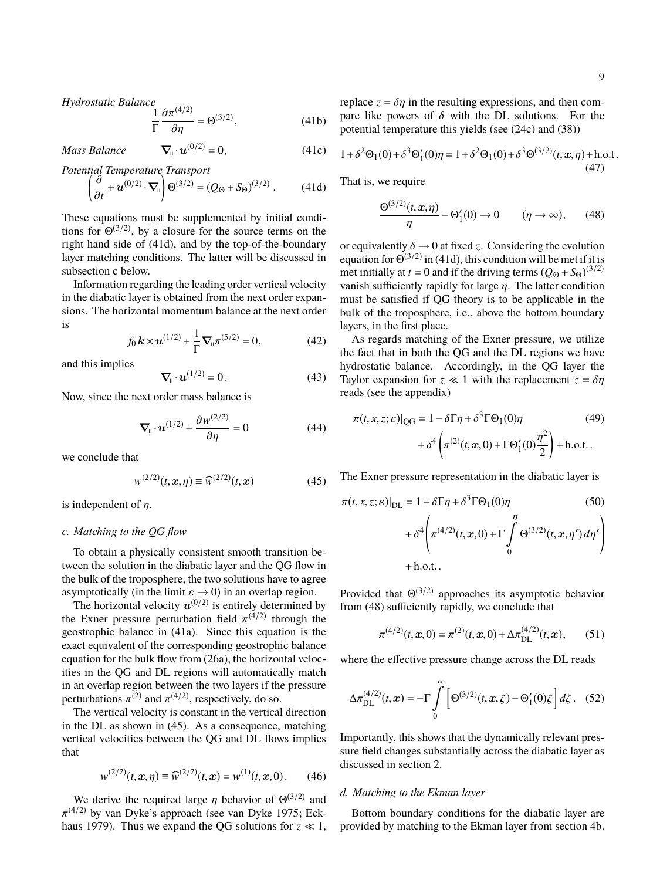Hydrostatic Balance

$$
\frac{1}{\Gamma} \frac{\partial \pi^{(4/2)}}{\partial \eta} = \Theta^{(3/2)},\tag{41b}
$$

Mass Balance

Mass Balance 
$$
\nabla_{\mathbf{u}} \cdot \mathbf{u}^{(0/2)} = 0,
$$
 (41c)  
\nPotential Temperature Transport  
\n
$$
\left(\frac{\partial}{\partial t} + \mathbf{u}^{(0/2)} \cdot \nabla_{\mathbf{u}}\right) \Theta^{(3/2)} = (Q_{\Theta} + S_{\Theta})^{(3/2)}.
$$
 (41d)

These equations must be supplemented by initial conditions for  $\Theta^{(3/2)}$ , by a closure for the source terms on the right hand side of (41d), and by the top-of-the-boundary layer matching conditions. The latter will be discussed in subsection c below.

Information regarding the leading order vertical velocity in the diabatic layer is obtained from the next order expansions. The horizontal momentum balance at the next order is

$$
f_0 \, \mathbf{k} \times \mathbf{u}^{(1/2)} + \frac{1}{\Gamma} \nabla_{\shortparallel} \pi^{(5/2)} = 0, \tag{42}
$$

and this implies

$$
\nabla_{\mathbf{u}} \cdot \boldsymbol{u}^{(1/2)} = 0. \tag{43}
$$

Now, since the next order mass balance is

$$
\nabla_{\mathfrak{n}} \cdot \boldsymbol{u}^{(1/2)} + \frac{\partial w^{(2/2)}}{\partial \eta} = 0 \tag{44}
$$

we conclude that

$$
w^{(2/2)}(t, \mathbf{x}, \eta) \equiv \widehat{w}^{(2/2)}(t, \mathbf{x}) \tag{45}
$$

is independent of  $\eta$ .

### *c. Matching to the QG flow*

To obtain a physically consistent smooth transition between the solution in the diabatic layer and the QG flow in the bulk of the troposphere, the two solutions have to agree

asymptotically (in the limit  $\varepsilon \to 0$ ) in an overlap region.<br>The horizontal velocity  $u^{(0/2)}$  is entirely determined by the Exner pressure perturbation field  $\pi^{(4/2)}$  through the geostrophic balance in (41a). Since this equation is the geostrophic balance in (41a). Since this equation is the exact equivalent of the corresponding geostrophic balance equation for the bulk flow from (26a), the horizontal velocities in the QG and DL regions will automatically match in an overlap region between the two layers if the pressure perturbations  $\pi^{(2)}$  and  $\pi^{(4/2)}$ , respectively, do so.<br>The vertical velocity is constant in the vertical

The vertical velocity is constant in the vertical direction in the DL as shown in (45). As a consequence, matching vertical velocities between the QG and DL flows implies that

$$
w^{(2/2)}(t, x, \eta) \equiv \widehat{w}^{(2/2)}(t, x) = w^{(1)}(t, x, 0). \qquad (46)
$$

We derive the required large  $\eta$  behavior of  $\Theta^{(3/2)}$  and  $\Theta^{(1/2)}$  by van Dyke's approach (see van Dyke 1975; Eckhaus 1979). Thus we expand the QG solutions for  $z \ll 1$ ,  $\pi^{(4/2)}$  by van Dyke's approach (see van Dyke 1975; Eckreplace  $z = \delta \eta$  in the resulting expressions, and then compare like powers of  $\delta$  with the DL solutions. For the potential temperature this yields (see (24c) and (38))

$$
1 + \delta^2 \Theta_1(0) + \delta^3 \Theta'_1(0)\eta = 1 + \delta^2 \Theta_1(0) + \delta^3 \Theta^{(3/2)}(t, x, \eta) + \text{h.o.t.}
$$
\n(47)

That is, we require

$$
\frac{\Theta^{(3/2)}(t, x, \eta)}{\eta} - \Theta_1'(0) \to 0 \qquad (\eta \to \infty), \qquad (48)
$$

or equivalently  $\delta \rightarrow 0$  at fixed *z*. Considering the evolution equation for  $\Theta^{(3/2)}$  in (41d), this condition will be met if it is met initially at  $t = 0$  and if the driving terms  $(Q_{\Theta} + S_{\Theta})^{(3/2)}$ vanish sufficiently rapidly for large  $\eta$ . The latter condition must be satisfied if QG theory is to be applicable in the bulk of the troposphere, i.e., above the bottom boundary layers, in the first place.

As regards matching of the Exner pressure, we utilize the fact that in both the QG and the DL regions we have hydrostatic balance. Accordingly, in the QG layer the Taylor expansion for  $z \ll 1$  with the replacement  $z = \delta \eta$ reads (see the appendix)

$$
\pi(t, x, z; \varepsilon)|_{\text{QG}} = 1 - \delta \Gamma \eta + \delta^3 \Gamma \Theta_1(0) \eta \tag{49}
$$

$$
+ \delta^4 \left( \pi^{(2)}(t, x, 0) + \Gamma \Theta'_1(0) \frac{\eta^2}{2} \right) + \text{h.o.t.} \, .
$$

The Exner pressure representation in the diabatic layer is

$$
\pi(t, x, z; \varepsilon)|_{\text{DL}} = 1 - \delta \Gamma \eta + \delta^3 \Gamma \Theta_1(0) \eta \tag{50}
$$

$$
+ \delta^4 \left( \pi^{(4/2)}(t, x, 0) + \Gamma \int_0^{\eta} \Theta^{(3/2)}(t, x, \eta') d\eta' \right)
$$

$$
+ \text{h.o.t.}.
$$

Provided that  $\Theta^{(3/2)}$  approaches its asymptotic behavior from (48) sufficiently rapidly, we conclude that

$$
\pi^{(4/2)}(t, x, 0) = \pi^{(2)}(t, x, 0) + \Delta \pi_{\text{DL}}^{(4/2)}(t, x), \qquad (51)
$$

where the effective pressure change across the DL reads

$$
\Delta \pi_{\text{DL}}^{(4/2)}(t,\mathbf{x}) = -\Gamma \int_{0}^{\infty} \left[ \Theta^{(3/2)}(t,\mathbf{x},\zeta) - \Theta_1'(0)\zeta \right] d\zeta. \quad (52)
$$

Importantly, this shows that the dynamically relevant pressure field changes substantially across the diabatic layer as discussed in section 2.

### *d. Matching to the Ekman layer*

Bottom boundary conditions for the diabatic layer are provided by matching to the Ekman layer from section 4b.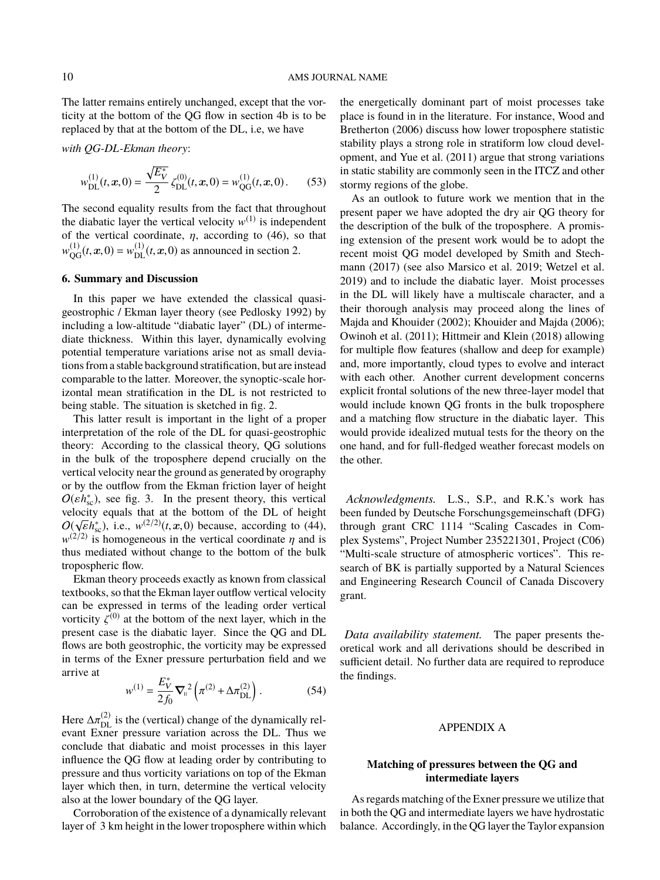The latter remains entirely unchanged, except that the vorticity at the bottom of the QG flow in section 4b is to be replaced by that at the bottom of the DL, i.e, we have

with QG-DL-Ekman theory:

$$
w_{\text{DL}}^{(1)}(t, x, 0) = \frac{\sqrt{E_Y^*}}{2} \zeta_{\text{DL}}^{(0)}(t, x, 0) = w_{\text{QG}}^{(1)}(t, x, 0). \tag{53}
$$

The second equality results from the fact that throughout the diabatic layer the vertical velocity  $w^{(1)}$  is independent of the vertical coordinate,  $\eta$ , according to (46), so that  $w_{\text{QG}}^{(1)}(t, x, 0) = w_{\text{DL}}^{(1)}(t, x, 0)$  as announced in section 2.

# **6. Summary and Discussion**

In this paper we have extended the classical quasigeostrophic / Ekman layer theory (see Pedlosky 1992) by including a low-altitude "diabatic layer" (DL) of intermediate thickness. Within this layer, dynamically evolving potential temperature variations arise not as small deviations from a stable background stratification, but are instead comparable to the latter. Moreover, the synoptic-scale horizontal mean stratification in the DL is not restricted to being stable. The situation is sketched in fig. 2.

This latter result is important in the light of a proper interpretation of the role of the DL for quasi-geostrophic theory: According to the classical theory, QG solutions in the bulk of the troposphere depend crucially on the vertical velocity near the ground as generated by orography or by the outflow from the Ekman friction layer of height  $O(\varepsilon h_{\rm sc}^*)$ , see fig. 3. In the present theory, this vertical<br>velocity equals that at the bottom of the DL of height velocity equals that at the bottom of the DL of height velocity equals that at the bottom of the DL of height  $O(\sqrt{\epsilon}h_{sc}^*),$  i.e.,  $w^{(2/2)}(t, x, 0)$  because, according to (44),  $w^{(2/2)}$  is homogeneous in the vertical coordinate *n* and is  $w^{(2/2)}$  is homogeneous in the vertical coordinate  $\eta$  and is thus mediated without change to the bottom of the bulk thus mediated without change to the bottom of the bulk tropospheric flow.

Ekman theory proceeds exactly as known from classical textbooks, so that the Ekman layer outflow vertical velocity can be expressed in terms of the leading order vertical vorticity  $\zeta^{(0)}$  at the bottom of the next layer, which in the present case is the diabatic layer. Since the OG and DI present case is the diabatic layer. Since the QG and DL flows are both geostrophic, the vorticity may be expressed in terms of the Exner pressure perturbation field and we arrive at

$$
w^{(1)} = \frac{E_V^*}{2f_0} \nabla_{\mathbf{n}}^2 \left( \pi^{(2)} + \Delta \pi_{\text{DL}}^{(2)} \right). \tag{54}
$$

Here  $\Delta \pi_{\text{DL}}^{(2)}$  is the (vertical) change of the dynamically relevant Experiment variation across the DL. Thus we evant Exner pressure variation across the DL. Thus we conclude that diabatic and moist processes in this layer influence the QG flow at leading order by contributing to pressure and thus vorticity variations on top of the Ekman layer which then, in turn, determine the vertical velocity also at the lower boundary of the QG layer.

Corroboration of the existence of a dynamically relevant layer of 3 km height in the lower troposphere within which

the energetically dominant part of moist processes take place is found in in the literature. For instance, Wood and Bretherton (2006) discuss how lower troposphere statistic stability plays a strong role in stratiform low cloud development, and Yue et al. (2011) argue that strong variations in static stability are commonly seen in the ITCZ and other stormy regions of the globe.

As an outlook to future work we mention that in the present paper we have adopted the dry air QG theory for the description of the bulk of the troposphere. A promising extension of the present work would be to adopt the recent moist QG model developed by Smith and Stechmann (2017) (see also Marsico et al. 2019; Wetzel et al. 2019) and to include the diabatic layer. Moist processes in the DL will likely have a multiscale character, and a their thorough analysis may proceed along the lines of Majda and Khouider (2002); Khouider and Majda (2006); Owinoh et al. (2011); Hittmeir and Klein (2018) allowing for multiple flow features (shallow and deep for example) and, more importantly, cloud types to evolve and interact with each other. Another current development concerns explicit frontal solutions of the new three-layer model that would include known QG fronts in the bulk troposphere and a matching flow structure in the diabatic layer. This would provide idealized mutual tests for the theory on the one hand, and for full-fledged weather forecast models on the other.

*Acknowledgments.* L.S., S.P., and R.K.'s work has been funded by Deutsche Forschungsgemeinschaft (DFG) through grant CRC 1114 "Scaling Cascades in Complex Systems", Project Number 235221301, Project (C06) "Multi-scale structure of atmospheric vortices". This research of BK is partially supported by a Natural Sciences and Engineering Research Council of Canada Discovery grant.

*Data availability statement.* The paper presents theoretical work and all derivations should be described in sufficient detail. No further data are required to reproduce the findings.

### APPENDIX A

# **Matching of pressures between the QG and intermediate layers**

As regards matching of the Exner pressure we utilize that in both the QG and intermediate layers we have hydrostatic balance. Accordingly, in the QG layer the Taylor expansion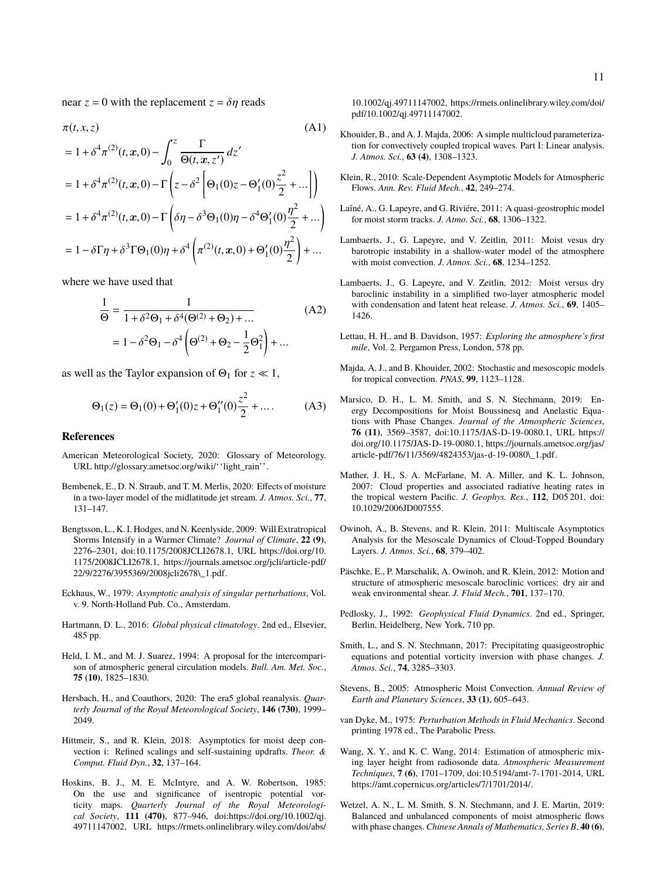near  $z = 0$  with the replacement  $z = \delta \eta$  reads

$$
\pi(t, x, z) \qquad (A1)
$$
\n
$$
= 1 + \delta^{4} \pi^{(2)}(t, x, 0) - \int_{0}^{z} \frac{\Gamma}{\Theta(t, x, z')} dz'
$$
\n
$$
= 1 + \delta^{4} \pi^{(2)}(t, x, 0) - \Gamma\left(z - \delta^{2}\left[\Theta_{1}(0)z - \Theta_{1}'(0)\frac{z^{2}}{2} + ...\right]\right)
$$
\n
$$
= 1 + \delta^{4} \pi^{(2)}(t, x, 0) - \Gamma\left(\delta\eta - \delta^{3}\Theta_{1}(0)\eta - \delta^{4}\Theta_{1}'(0)\frac{\eta^{2}}{2} + ...\right)
$$
\n
$$
= 1 - \delta\Gamma\eta + \delta^{3}\Gamma\Theta_{1}(0)\eta + \delta^{4}\left(\pi^{(2)}(t, x, 0) + \Theta_{1}'(0)\frac{\eta^{2}}{2}\right) + ...
$$

where we have used that

$$
\frac{1}{\Theta} = \frac{1}{1 + \delta^2 \Theta_1 + \delta^4 (\Theta^{(2)} + \Theta_2) + \dots}
$$
\n
$$
= 1 - \delta^2 \Theta_1 - \delta^4 \left( \Theta^{(2)} + \Theta_2 - \frac{1}{2} \Theta_1^2 \right) + \dots
$$
\n(A2)

as well as the Taylor expansion of  $\Theta_1$  for  $z \ll 1$ ,

$$
\Theta_1(z) = \Theta_1(0) + \Theta_1'(0)z + \Theta_1''(0)\frac{z^2}{2} + \dots
$$
 (A3)

### **References**

- American Meteorological Society, 2020: Glossary of Meteorology. URL http://glossary.ametsoc.org/wiki/''light\_rain''.
- Bembenek, E., D. N. Straub, and T. M. Merlis, 2020: Effects of moisture in a two-layer model of the midlatitude jet stream. *J. Atmos. Sci.*, **77**, 131–147.
- Bengtsson, L., K. I. Hodges, and N. Keenlyside, 2009: Will Extratropical Storms Intensify in a Warmer Climate? *Journal of Climate*, **22 (9)**, 2276–2301, doi:10.1175/2008JCLI2678.1, URL https://doi.org/10. 1175/2008JCLI2678.1, https://journals.ametsoc.org/jcli/article-pdf/ 22/9/2276/3955369/2008jcli2678\\_1.pdf.
- Eckhaus, W., 1979: *Asymptotic analysis of singular perturbations*, Vol. v. 9. North-Holland Pub. Co., Amsterdam.
- Hartmann, D. L., 2016: *Global physical climatology*. 2nd ed., Elsevier, 485 pp.
- Held, I. M., and M. J. Suarez, 1994: A proposal for the intercomparison of atmospheric general circulation models. *Bull. Am. Met. Soc.*, **75 (10)**, 1825–1830.
- Hersbach, H., and Coauthors, 2020: The era5 global reanalysis. *Quarterly Journal of the Royal Meteorological Society*, **146 (730)**, 1999– 2049.
- Hittmeir, S., and R. Klein, 2018: Asymptotics for moist deep convection i: Refined scalings and self-sustaining updrafts. *Theor. & Comput. Fluid Dyn.*, **32**, 137–164.
- Hoskins, B. J., M. E. McIntyre, and A. W. Robertson, 1985: On the use and significance of isentropic potential vorticity maps. *Quarterly Journal of the Royal Meteorological Society*, **111 (470)**, 877–946, doi:https://doi.org/10.1002/qj. 49711147002, URL https://rmets.onlinelibrary.wiley.com/doi/abs/

10.1002/qj.49711147002, https://rmets.onlinelibrary.wiley.com/doi/ pdf/10.1002/qj.49711147002.

- Khouider, B., and A. J. Majda, 2006: A simple multicloud parameterization for convectively coupled tropical waves. Part I: Linear analysis. *J. Atmos. Sci.*, **63 (4)**, 1308–1323.
- Klein, R., 2010: Scale-Dependent Asymptotic Models for Atmospheric Flows. *Ann. Rev. Fluid Mech.*, **42**, 249–274.
- Laîné, A., G. Lapeyre, and G. Riviére, 2011: A quasi-geostrophic model for moist storm tracks. *J. Atmo. Sci.*, **68**, 1306–1322.
- Lambaerts, J., G. Lapeyre, and V. Zeitlin, 2011: Moist vesus dry barotropic instability in a shallow-water model of the atmosphere with moist convection. *J. Atmos. Sci.*, **68**, 1234–1252.
- Lambaerts, J., G. Lapeyre, and V. Zeitlin, 2012: Moist versus dry baroclinic instability in a simplified two-layer atmospheric model with condensation and latent heat release. *J. Atmos. Sci.*, **69**, 1405– 1426.
- Lettau, H. H., and B. Davidson, 1957: *Exploring the atmosphere's first mile*, Vol. 2. Pergamon Press, London, 578 pp.
- Majda, A. J., and B. Khouider, 2002: Stochastic and mesoscopic models for tropical convection. *PNAS*, **99**, 1123–1128.
- Marsico, D. H., L. M. Smith, and S. N. Stechmann, 2019: Energy Decompositions for Moist Boussinesq and Anelastic Equations with Phase Changes. *Journal of the Atmospheric Sciences*, **76 (11)**, 3569–3587, doi:10.1175/JAS-D-19-0080.1, URL https:// doi.org/10.1175/JAS-D-19-0080.1, https://journals.ametsoc.org/jas/ article-pdf/76/11/3569/4824353/jas-d-19-0080\\_1.pdf.
- Mather, J. H., S. A. McFarlane, M. A. Miller, and K. L. Johnson, 2007: Cloud properties and associated radiative heating rates in the tropical western Pacific. *J. Geophys. Res.*, **112**, D05 201, doi: 10.1029/2006JD007555.
- Owinoh, A., B. Stevens, and R. Klein, 2011: Multiscale Asymptotics Analysis for the Mesoscale Dynamics of Cloud-Topped Boundary Layers. *J. Atmos. Sci.*, **68**, 379–402.
- Päschke, E., P. Marschalik, A. Owinoh, and R. Klein, 2012: Motion and structure of atmospheric mesoscale baroclinic vortices: dry air and weak environmental shear. *J. Fluid Mech.*, **701**, 137–170.
- Pedlosky, J., 1992: *Geophysical Fluid Dynamics*. 2nd ed., Springer, Berlin, Heidelberg, New York, 710 pp.
- Smith, L., and S. N. Stechmann, 2017: Precipitating quasigeostrophic equations and potential vorticity inversion with phase changes. *J. Atmos. Sci.*, **74**, 3285–3303.
- Stevens, B., 2005: Atmospheric Moist Convection. *Annual Review of Earth and Planetary Sciences*, **33 (1)**, 605–643.
- van Dyke, M., 1975: *Perturbation Methods in Fluid Mechanics*. Second printing 1978 ed., The Parabolic Press.
- Wang, X. Y., and K. C. Wang, 2014: Estimation of atmospheric mixing layer height from radiosonde data. *Atmospheric Measurement Techniques*, **7 (6)**, 1701–1709, doi:10.5194/amt-7-1701-2014, URL https://amt.copernicus.org/articles/7/1701/2014/.
- Wetzel, A. N., L. M. Smith, S. N. Stechmann, and J. E. Martin, 2019: Balanced and unbalanced components of moist atmospheric flows with phase changes. *Chinese Annals of Mathematics, Series B*, **40 (6)**,